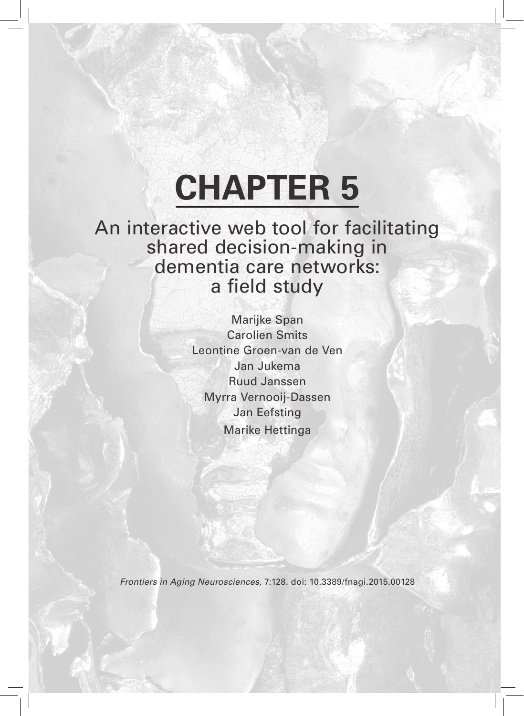# **CHAPTER 5**

An interactive web tool for facilitating shared decision-making in dementia care networks: a field study

> Marijke Span Carolien Smits Leontine Groen-van de Ven Jan Jukema Ruud Janssen Myrra Vernooij-Dassen Jan Eefsting Marike Hettinga

*Frontiers in Aging Neurosciences,* 7:128. doi: 10.3389/fnagi.2015.00128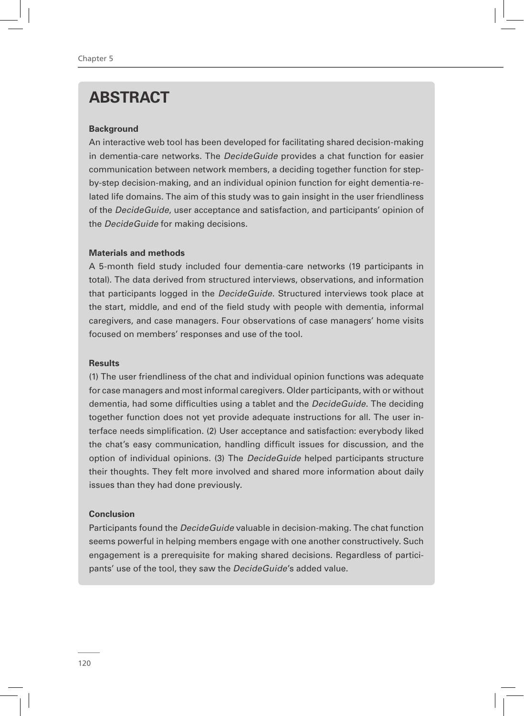# **ABSTRACT**

#### **Background**

An interactive web tool has been developed for facilitating shared decision-making in dementia-care networks. The *DecideGuide* provides a chat function for easier communication between network members, a deciding together function for stepby-step decision-making, and an individual opinion function for eight dementia-related life domains. The aim of this study was to gain insight in the user friendliness of the *DecideGuide*, user acceptance and satisfaction, and participants' opinion of the *DecideGuide* for making decisions.

#### **Materials and methods**

A 5-month field study included four dementia-care networks (19 participants in total). The data derived from structured interviews, observations, and information that participants logged in the *DecideGuide*. Structured interviews took place at the start, middle, and end of the field study with people with dementia, informal caregivers, and case managers. Four observations of case managers' home visits focused on members' responses and use of the tool.

#### **Results**

(1) The user friendliness of the chat and individual opinion functions was adequate for case managers and most informal caregivers. Older participants, with or without dementia, had some difficulties using a tablet and the *DecideGuide*. The deciding together function does not yet provide adequate instructions for all. The user interface needs simplification. (2) User acceptance and satisfaction: everybody liked the chat's easy communication, handling difficult issues for discussion, and the option of individual opinions. (3) The *DecideGuide* helped participants structure their thoughts. They felt more involved and shared more information about daily issues than they had done previously.

#### **Conclusion**

Participants found the *DecideGuide* valuable in decision-making. The chat function seems powerful in helping members engage with one another constructively. Such engagement is a prerequisite for making shared decisions. Regardless of participants' use of the tool, they saw the *DecideGuide*'s added value.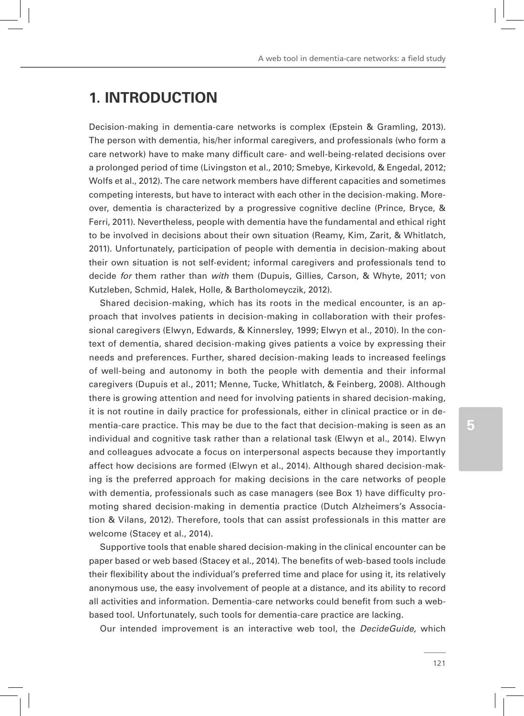# **1. INTRODUCTION**

Decision-making in dementia-care networks is complex (Epstein & Gramling, 2013). The person with dementia, his/her informal caregivers, and professionals (who form a care network) have to make many difficult care- and well-being-related decisions over a prolonged period of time (Livingston et al., 2010; Smebye, Kirkevold, & Engedal, 2012; Wolfs et al., 2012). The care network members have different capacities and sometimes competing interests, but have to interact with each other in the decision-making. Moreover, dementia is characterized by a progressive cognitive decline (Prince, Bryce, & Ferri, 2011). Nevertheless, people with dementia have the fundamental and ethical right to be involved in decisions about their own situation (Reamy, Kim, Zarit, & Whitlatch, 2011). Unfortunately, participation of people with dementia in decision-making about their own situation is not self-evident; informal caregivers and professionals tend to decide *for* them rather than *with* them (Dupuis, Gillies, Carson, & Whyte, 2011; von Kutzleben, Schmid, Halek, Holle, & Bartholomeyczik, 2012).

Shared decision-making, which has its roots in the medical encounter, is an approach that involves patients in decision-making in collaboration with their professional caregivers (Elwyn, Edwards, & Kinnersley, 1999; Elwyn et al., 2010). In the context of dementia, shared decision-making gives patients a voice by expressing their needs and preferences. Further, shared decision-making leads to increased feelings of well-being and autonomy in both the people with dementia and their informal caregivers (Dupuis et al., 2011; Menne, Tucke, Whitlatch, & Feinberg, 2008). Although there is growing attention and need for involving patients in shared decision-making, it is not routine in daily practice for professionals, either in clinical practice or in dementia-care practice. This may be due to the fact that decision-making is seen as an individual and cognitive task rather than a relational task (Elwyn et al., 2014). Elwyn and colleagues advocate a focus on interpersonal aspects because they importantly affect how decisions are formed (Elwyn et al., 2014). Although shared decision-making is the preferred approach for making decisions in the care networks of people with dementia, professionals such as case managers (see Box 1) have difficulty promoting shared decision-making in dementia practice (Dutch Alzheimers's Association & Vilans, 2012). Therefore, tools that can assist professionals in this matter are welcome (Stacey et al., 2014).

Supportive tools that enable shared decision-making in the clinical encounter can be paper based or web based (Stacey et al., 2014). The benefits of web-based tools include their flexibility about the individual's preferred time and place for using it, its relatively anonymous use, the easy involvement of people at a distance, and its ability to record all activities and information. Dementia-care networks could benefit from such a webbased tool. Unfortunately, such tools for dementia-care practice are lacking.

Our intended improvement is an interactive web tool, the *DecideGuide,* which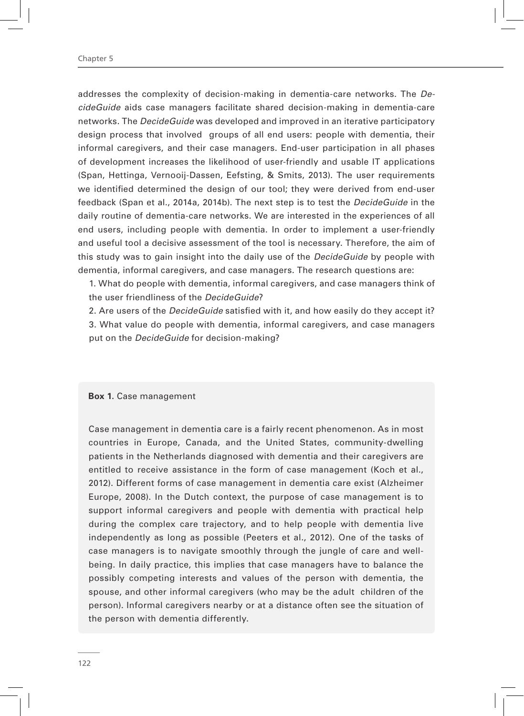#### Chapter 5

addresses the complexity of decision-making in dementia-care networks. The *DecideGuide* aids case managers facilitate shared decision-making in dementia-care networks. The *DecideGuide* was developed and improved in an iterative participatory design process that involved groups of all end users: people with dementia, their informal caregivers, and their case managers. End-user participation in all phases of development increases the likelihood of user-friendly and usable IT applications (Span, Hettinga, Vernooij-Dassen, Eefsting, & Smits, 2013). The user requirements we identified determined the design of our tool; they were derived from end-user feedback (Span et al., 2014a, 2014b). The next step is to test the *DecideGuide* in the daily routine of dementia-care networks. We are interested in the experiences of all end users, including people with dementia. In order to implement a user-friendly and useful tool a decisive assessment of the tool is necessary. Therefore, the aim of this study was to gain insight into the daily use of the *DecideGuide* by people with dementia, informal caregivers, and case managers. The research questions are:

1. What do people with dementia, informal caregivers, and case managers think of the user friendliness of the *DecideGuide*?

2. Are users of the *DecideGuide* satisfied with it, and how easily do they accept it? 3. What value do people with dementia, informal caregivers, and case managers put on the *DecideGuide* for decision-making?

#### **Box 1.** Case management

Case management in dementia care is a fairly recent phenomenon. As in most countries in Europe, Canada, and the United States, community-dwelling patients in the Netherlands diagnosed with dementia and their caregivers are entitled to receive assistance in the form of case management (Koch et al., 2012). Different forms of case management in dementia care exist (Alzheimer Europe, 2008). In the Dutch context, the purpose of case management is to support informal caregivers and people with dementia with practical help during the complex care trajectory, and to help people with dementia live independently as long as possible (Peeters et al., 2012). One of the tasks of case managers is to navigate smoothly through the jungle of care and wellbeing. In daily practice, this implies that case managers have to balance the possibly competing interests and values of the person with dementia, the spouse, and other informal caregivers (who may be the adult children of the person). Informal caregivers nearby or at a distance often see the situation of the person with dementia differently.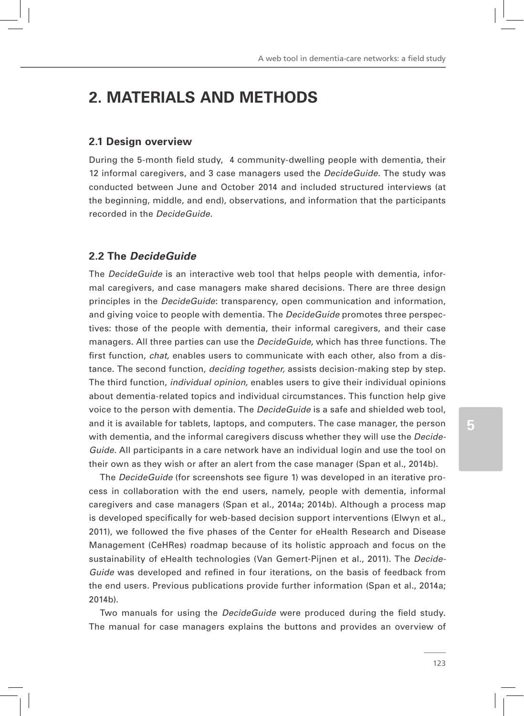# **2. MATERIALS AND METHODS**

#### **2.1 Design overview**

During the 5-month field study, 4 community-dwelling people with dementia, their 12 informal caregivers, and 3 case managers used the *DecideGuide*. The study was conducted between June and October 2014 and included structured interviews (at the beginning, middle, and end), observations, and information that the participants recorded in the *DecideGuide*.

## **2.2 The** *DecideGuide*

The *DecideGuide* is an interactive web tool that helps people with dementia, informal caregivers, and case managers make shared decisions. There are three design principles in the *DecideGuide*: transparency, open communication and information, and giving voice to people with dementia. The *DecideGuide* promotes three perspectives: those of the people with dementia, their informal caregivers, and their case managers. All three parties can use the *DecideGuide,* which has three functions. The first function, *chat,* enables users to communicate with each other, also from a distance. The second function, *deciding together,* assists decision-making step by step. The third function, *individual opinion,* enables users to give their individual opinions about dementia-related topics and individual circumstances. This function help give voice to the person with dementia. The *DecideGuide* is a safe and shielded web tool, and it is available for tablets, laptops, and computers. The case manager, the person with dementia, and the informal caregivers discuss whether they will use the *Decide-Guide*. All participants in a care network have an individual login and use the tool on their own as they wish or after an alert from the case manager (Span et al., 2014b).

The *DecideGuide* (for screenshots see figure 1) was developed in an iterative process in collaboration with the end users, namely, people with dementia, informal caregivers and case managers (Span et al., 2014a; 2014b). Although a process map is developed specifically for web-based decision support interventions (Elwyn et al., 2011), we followed the five phases of the Center for eHealth Research and Disease Management (CeHRes) roadmap because of its holistic approach and focus on the sustainability of eHealth technologies (Van Gemert-Pijnen et al., 2011). The *Decide-Guide* was developed and refined in four iterations, on the basis of feedback from the end users. Previous publications provide further information (Span et al., 2014a; 2014b).

Two manuals for using the *DecideGuide* were produced during the field study. The manual for case managers explains the buttons and provides an overview of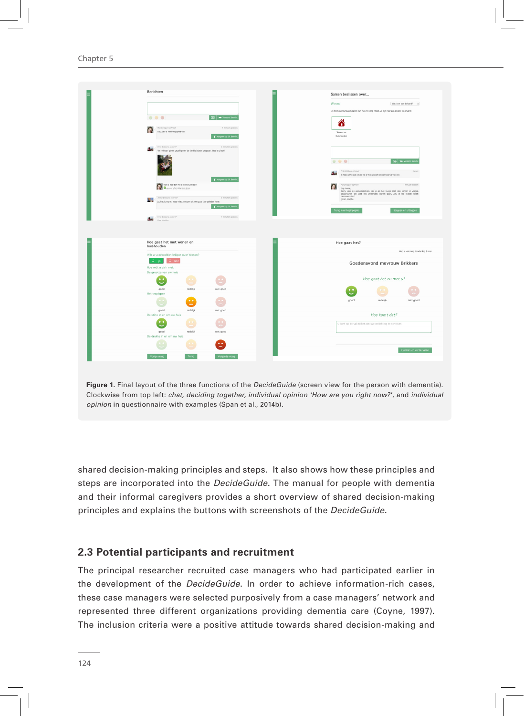Chapter 5



**Figure 1.** Final layout of the three functions of the *DecideGuide* (screen view for the person with dementia). Clockwise from top left: *chat, deciding together, individual opinion 'How are you right now?*', and *individual opinion* in questionnaire with examples (Span et al., 2014b).

shared decision-making principles and steps. It also shows how these principles and steps are incorporated into the *DecideGuide*. The manual for people with dementia and their informal caregivers provides a short overview of shared decision-making principles and explains the buttons with screenshots of the *DecideGuide*.

#### **2.3 Potential participants and recruitment**

The principal researcher recruited case managers who had participated earlier in the development of the *DecideGuide*. In order to achieve information-rich cases, these case managers were selected purposively from a case managers' network and represented three different organizations providing dementia care (Coyne, 1997). The inclusion criteria were a positive attitude towards shared decision-making and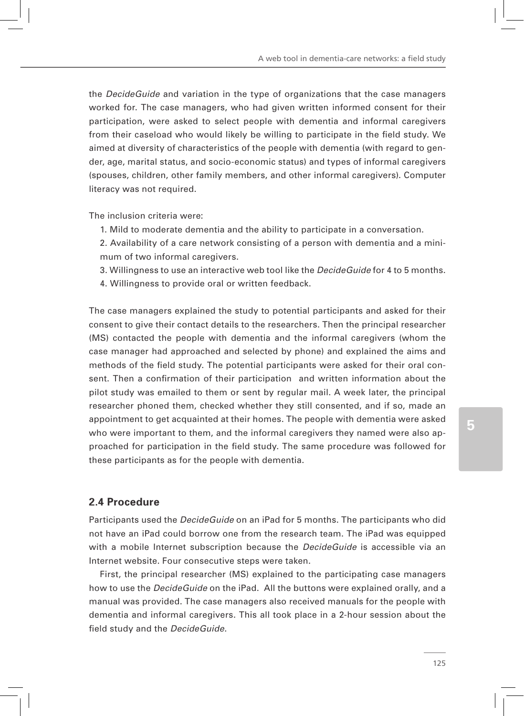the *DecideGuide* and variation in the type of organizations that the case managers worked for. The case managers, who had given written informed consent for their participation, were asked to select people with dementia and informal caregivers from their caseload who would likely be willing to participate in the field study. We aimed at diversity of characteristics of the people with dementia (with regard to gender, age, marital status, and socio-economic status) and types of informal caregivers (spouses, children, other family members, and other informal caregivers). Computer literacy was not required.

The inclusion criteria were:

- 1. Mild to moderate dementia and the ability to participate in a conversation.
- 2. Availability of a care network consisting of a person with dementia and a minimum of two informal caregivers.
- 3. Willingness to use an interactive web tool like the *DecideGuide* for 4 to 5 months.
- 4. Willingness to provide oral or written feedback.

The case managers explained the study to potential participants and asked for their consent to give their contact details to the researchers. Then the principal researcher (MS) contacted the people with dementia and the informal caregivers (whom the case manager had approached and selected by phone) and explained the aims and methods of the field study. The potential participants were asked for their oral consent. Then a confirmation of their participation and written information about the pilot study was emailed to them or sent by regular mail. A week later, the principal researcher phoned them, checked whether they still consented, and if so, made an appointment to get acquainted at their homes. The people with dementia were asked who were important to them, and the informal caregivers they named were also approached for participation in the field study. The same procedure was followed for these participants as for the people with dementia.

#### **2.4 Procedure**

Participants used the *DecideGuide* on an iPad for 5 months. The participants who did not have an iPad could borrow one from the research team. The iPad was equipped with a mobile Internet subscription because the *DecideGuide* is accessible via an Internet website. Four consecutive steps were taken.

First, the principal researcher (MS) explained to the participating case managers how to use the *DecideGuide* on the iPad. All the buttons were explained orally, and a manual was provided. The case managers also received manuals for the people with dementia and informal caregivers. This all took place in a 2-hour session about the field study and the *DecideGuide*.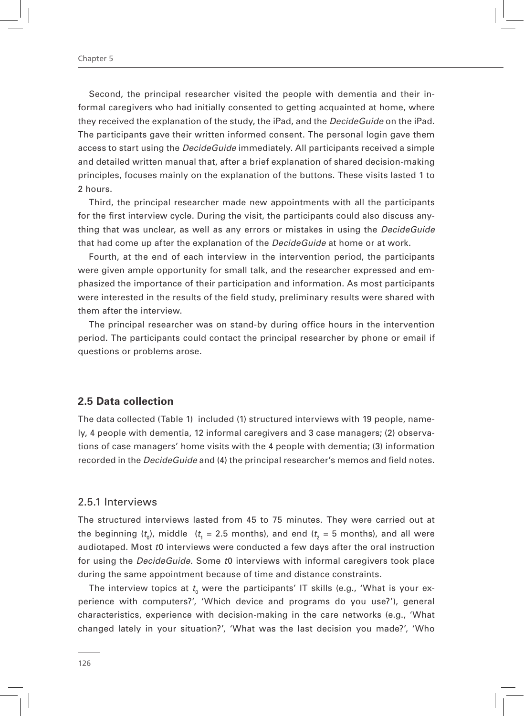Second, the principal researcher visited the people with dementia and their informal caregivers who had initially consented to getting acquainted at home, where they received the explanation of the study, the iPad, and the *DecideGuide* on the iPad. The participants gave their written informed consent. The personal login gave them access to start using the *DecideGuide* immediately. All participants received a simple and detailed written manual that, after a brief explanation of shared decision-making principles, focuses mainly on the explanation of the buttons. These visits lasted 1 to 2 hours.

Third, the principal researcher made new appointments with all the participants for the first interview cycle. During the visit, the participants could also discuss anything that was unclear, as well as any errors or mistakes in using the *DecideGuide*  that had come up after the explanation of the *DecideGuide* at home or at work.

Fourth, at the end of each interview in the intervention period, the participants were given ample opportunity for small talk, and the researcher expressed and emphasized the importance of their participation and information. As most participants were interested in the results of the field study, preliminary results were shared with them after the interview.

The principal researcher was on stand-by during office hours in the intervention period. The participants could contact the principal researcher by phone or email if questions or problems arose.

#### **2.5 Data collection**

The data collected (Table 1) included (1) structured interviews with 19 people, namely, 4 people with dementia, 12 informal caregivers and 3 case managers; (2) observations of case managers' home visits with the 4 people with dementia; (3) information recorded in the *DecideGuide* and (4) the principal researcher's memos and field notes.

#### 2.5.1 Interviews

The structured interviews lasted from 45 to 75 minutes. They were carried out at the beginning ( $t_{\text{o}}$ ), middle  $\;\;(t_{\text{i}}=2.5\;\text{months})$ , and end ( $t_{\text{2}}=5\;\text{months})$ , and all were audiotaped. Most *t*0 interviews were conducted a few days after the oral instruction for using the *DecideGuide*. Some *t*0 interviews with informal caregivers took place during the same appointment because of time and distance constraints.

The interview topics at  $t_{_{\rm{0}}}$  were the participants' IT skills (e.g., 'What is your experience with computers?', 'Which device and programs do you use?'), general characteristics, experience with decision-making in the care networks (e.g., 'What changed lately in your situation?', 'What was the last decision you made?', 'Who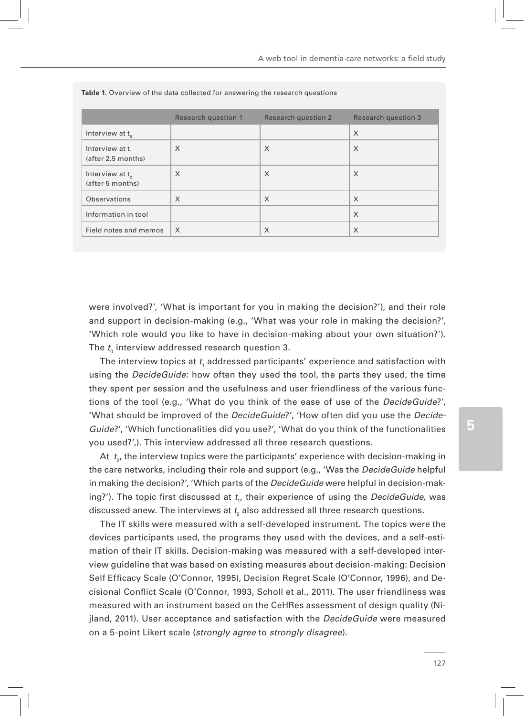|                                                 | Research question 1 | <b>Research question 2</b> | <b>Research question 3</b> |
|-------------------------------------------------|---------------------|----------------------------|----------------------------|
| Interview at $t_{0}$                            |                     |                            | X                          |
| Interview at t,<br>(after 2.5 months)           | $\times$            | $\times$                   | X                          |
| Interview at t <sub>2</sub><br>(after 5 months) | X                   | X                          | X                          |
| Observations                                    | X                   | $\times$                   | X                          |
| Information in tool                             |                     |                            | X                          |
| Field notes and memos                           | $\times$            | X                          | X                          |

**Table 1.** Overview of the data collected for answering the research questions

were involved?', 'What is important for you in making the decision?'), and their role and support in decision-making (e.g., 'What was your role in making the decision?', 'Which role would you like to have in decision-making about your own situation?'). The  $t_{_{\rm{0}}}$  interview addressed research question 3.

The interview topics at  $t_{\scriptscriptstyle \parallel}$  addressed participants' experience and satisfaction with using the *DecideGuide*: how often they used the tool, the parts they used, the time they spent per session and the usefulness and user friendliness of the various functions of the tool (e.g., 'What do you think of the ease of use of the *DecideGuide*?', 'What should be improved of the *DecideGuide*?', 'How often did you use the *Decide-Guide*?', 'Which functionalities did you use?', 'What do you think of the functionalities you used?',). This interview addressed all three research questions.

At  $\:_{2'}$ , the interview topics were the participants' experience with decision-making in the care networks, including their role and support (e.g., 'Was the *DecideGuide* helpful in making the decision?', 'Which parts of the *DecideGuide* were helpful in decision-making?'). The topic first discussed at *t<sub>1</sub>,* their experience of using the *DecideGuide,* was discussed anew. The interviews at  $t_{\scriptscriptstyle 2}$  also addressed all three research questions.

The IT skills were measured with a self-developed instrument. The topics were the devices participants used, the programs they used with the devices, and a self-estimation of their IT skills. Decision-making was measured with a self-developed interview guideline that was based on existing measures about decision-making: Decision Self Efficacy Scale (O'Connor, 1995), Decision Regret Scale (O'Connor, 1996), and Decisional Conflict Scale (O'Connor, 1993, Scholl et al., 2011). The user friendliness was measured with an instrument based on the CeHRes assessment of design quality (Nijland, 2011). User acceptance and satisfaction with the *DecideGuide* were measured on a 5-point Likert scale (*strongly agree* to *strongly disagree*).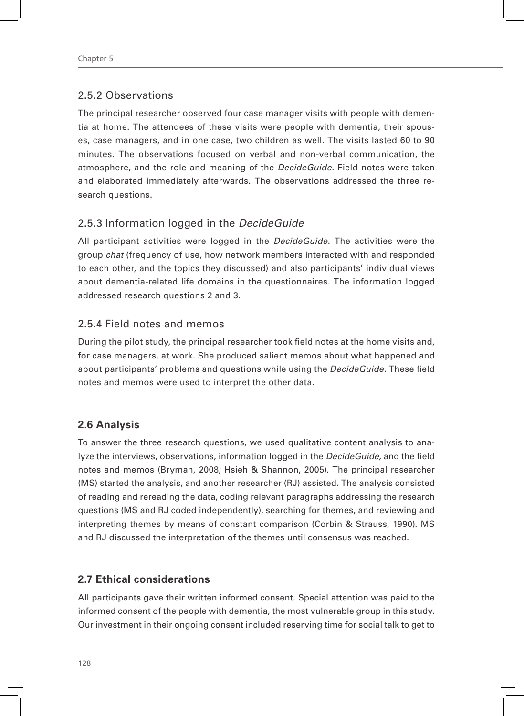## 2.5.2 Observations

The principal researcher observed four case manager visits with people with dementia at home. The attendees of these visits were people with dementia, their spouses, case managers, and in one case, two children as well. The visits lasted 60 to 90 minutes. The observations focused on verbal and non-verbal communication, the atmosphere, and the role and meaning of the *DecideGuide*. Field notes were taken and elaborated immediately afterwards. The observations addressed the three research questions.

## 2.5.3 Information logged in the *DecideGuide*

All participant activities were logged in the *DecideGuide*. The activities were the group *chat* (frequency of use, how network members interacted with and responded to each other, and the topics they discussed) and also participants' individual views about dementia-related life domains in the questionnaires. The information logged addressed research questions 2 and 3.

#### 2.5.4 Field notes and memos

During the pilot study, the principal researcher took field notes at the home visits and, for case managers, at work. She produced salient memos about what happened and about participants' problems and questions while using the *DecideGuide*. These field notes and memos were used to interpret the other data.

#### **2.6 Analysis**

To answer the three research questions, we used qualitative content analysis to analyze the interviews, observations, information logged in the *DecideGuide,* and the field notes and memos (Bryman, 2008; Hsieh & Shannon, 2005). The principal researcher (MS) started the analysis, and another researcher (RJ) assisted. The analysis consisted of reading and rereading the data, coding relevant paragraphs addressing the research questions (MS and RJ coded independently), searching for themes, and reviewing and interpreting themes by means of constant comparison (Corbin & Strauss, 1990). MS and RJ discussed the interpretation of the themes until consensus was reached.

## **2.7 Ethical considerations**

All participants gave their written informed consent. Special attention was paid to the informed consent of the people with dementia, the most vulnerable group in this study. Our investment in their ongoing consent included reserving time for social talk to get to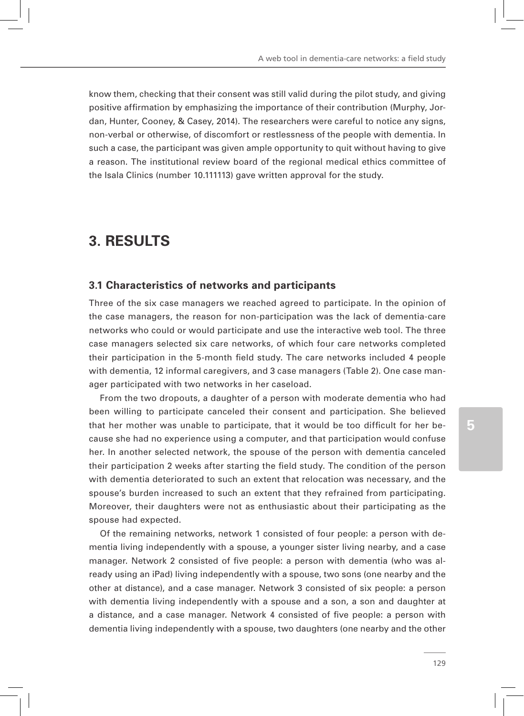know them, checking that their consent was still valid during the pilot study, and giving positive affirmation by emphasizing the importance of their contribution (Murphy, Jordan, Hunter, Cooney, & Casey, 2014). The researchers were careful to notice any signs, non-verbal or otherwise, of discomfort or restlessness of the people with dementia. In such a case, the participant was given ample opportunity to quit without having to give a reason. The institutional review board of the regional medical ethics committee of the Isala Clinics (number 10.111113) gave written approval for the study.

# **3. RESULTS**

#### **3.1 Characteristics of networks and participants**

Three of the six case managers we reached agreed to participate. In the opinion of the case managers, the reason for non-participation was the lack of dementia-care networks who could or would participate and use the interactive web tool. The three case managers selected six care networks, of which four care networks completed their participation in the 5-month field study. The care networks included 4 people with dementia, 12 informal caregivers, and 3 case managers (Table 2). One case manager participated with two networks in her caseload.

From the two dropouts, a daughter of a person with moderate dementia who had been willing to participate canceled their consent and participation. She believed that her mother was unable to participate, that it would be too difficult for her because she had no experience using a computer, and that participation would confuse her. In another selected network, the spouse of the person with dementia canceled their participation 2 weeks after starting the field study. The condition of the person with dementia deteriorated to such an extent that relocation was necessary, and the spouse's burden increased to such an extent that they refrained from participating. Moreover, their daughters were not as enthusiastic about their participating as the spouse had expected.

Of the remaining networks, network 1 consisted of four people: a person with dementia living independently with a spouse, a younger sister living nearby, and a case manager. Network 2 consisted of five people: a person with dementia (who was already using an iPad) living independently with a spouse, two sons (one nearby and the other at distance), and a case manager. Network 3 consisted of six people: a person with dementia living independently with a spouse and a son, a son and daughter at a distance, and a case manager. Network 4 consisted of five people: a person with dementia living independently with a spouse, two daughters (one nearby and the other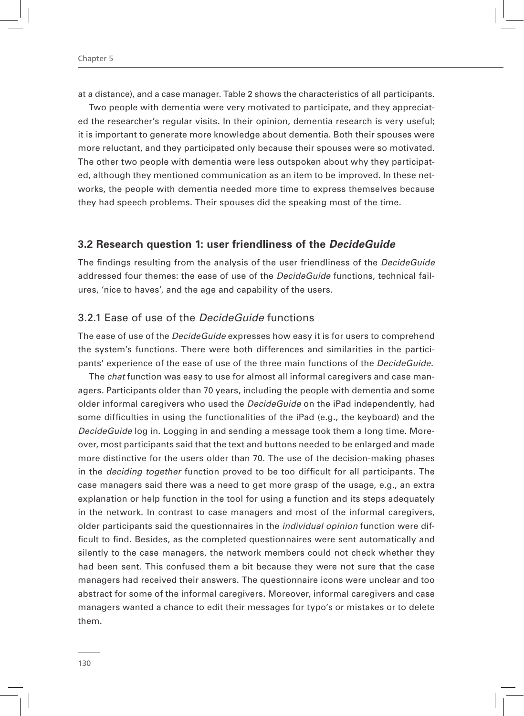at a distance), and a case manager. Table 2 shows the characteristics of all participants.

Two people with dementia were very motivated to participate, and they appreciated the researcher's regular visits. In their opinion, dementia research is very useful; it is important to generate more knowledge about dementia. Both their spouses were more reluctant, and they participated only because their spouses were so motivated. The other two people with dementia were less outspoken about why they participated, although they mentioned communication as an item to be improved. In these networks, the people with dementia needed more time to express themselves because they had speech problems. Their spouses did the speaking most of the time.

#### **3.2 Research question 1: user friendliness of the** *DecideGuide*

The findings resulting from the analysis of the user friendliness of the *DecideGuide*  addressed four themes: the ease of use of the *DecideGuide* functions, technical failures, 'nice to haves', and the age and capability of the users.

#### 3.2.1 Ease of use of the *DecideGuide* functions

The ease of use of the *DecideGuide* expresses how easy it is for users to comprehend the system's functions. There were both differences and similarities in the participants' experience of the ease of use of the three main functions of the *DecideGuide*.

The *chat* function was easy to use for almost all informal caregivers and case managers. Participants older than 70 years, including the people with dementia and some older informal caregivers who used the *DecideGuide* on the iPad independently, had some difficulties in using the functionalities of the iPad (e.g., the keyboard) and the *DecideGuide* log in. Logging in and sending a message took them a long time. Moreover, most participants said that the text and buttons needed to be enlarged and made more distinctive for the users older than 70. The use of the decision-making phases in the *deciding together* function proved to be too difficult for all participants. The case managers said there was a need to get more grasp of the usage, e.g., an extra explanation or help function in the tool for using a function and its steps adequately in the network. In contrast to case managers and most of the informal caregivers, older participants said the questionnaires in the *individual opinion* function were difficult to find. Besides, as the completed questionnaires were sent automatically and silently to the case managers, the network members could not check whether they had been sent. This confused them a bit because they were not sure that the case managers had received their answers. The questionnaire icons were unclear and too abstract for some of the informal caregivers. Moreover, informal caregivers and case managers wanted a chance to edit their messages for typo's or mistakes or to delete them.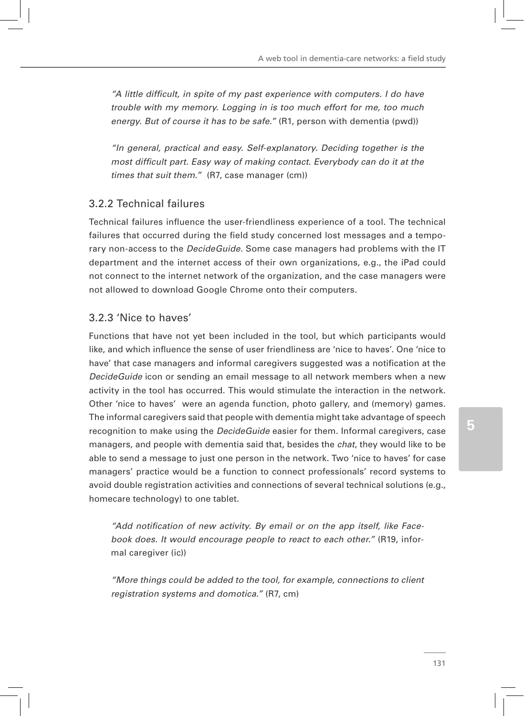*"A little difficult, in spite of my past experience with computers. I do have trouble with my memory. Logging in is too much effort for me, too much energy. But of course it has to be safe."* (R1, person with dementia (pwd))

*"In general, practical and easy. Self-explanatory. Deciding together is the most difficult part. Easy way of making contact. Everybody can do it at the times that suit them."* (R7, case manager (cm))

# 3.2.2 Technical failures

Technical failures influence the user-friendliness experience of a tool. The technical failures that occurred during the field study concerned lost messages and a temporary non-access to the *DecideGuide*. Some case managers had problems with the IT department and the internet access of their own organizations, e.g., the iPad could not connect to the internet network of the organization, and the case managers were not allowed to download Google Chrome onto their computers.

#### 3.2.3 'Nice to haves'

Functions that have not yet been included in the tool, but which participants would like, and which influence the sense of user friendliness are 'nice to haves'. One 'nice to have' that case managers and informal caregivers suggested was a notification at the *DecideGuide* icon or sending an email message to all network members when a new activity in the tool has occurred. This would stimulate the interaction in the network. Other 'nice to haves' were an agenda function, photo gallery, and (memory) games. The informal caregivers said that people with dementia might take advantage of speech recognition to make using the *DecideGuide* easier for them. Informal caregivers, case managers, and people with dementia said that, besides the *chat*, they would like to be able to send a message to just one person in the network. Two 'nice to haves' for case managers' practice would be a function to connect professionals' record systems to avoid double registration activities and connections of several technical solutions (e.g., homecare technology) to one tablet.

*"Add notification of new activity. By email or on the app itself, like Facebook does. It would encourage people to react to each other."* (R19, informal caregiver (ic))

*"More things could be added to the tool, for example, connections to client registration systems and domotica."* (R7, cm)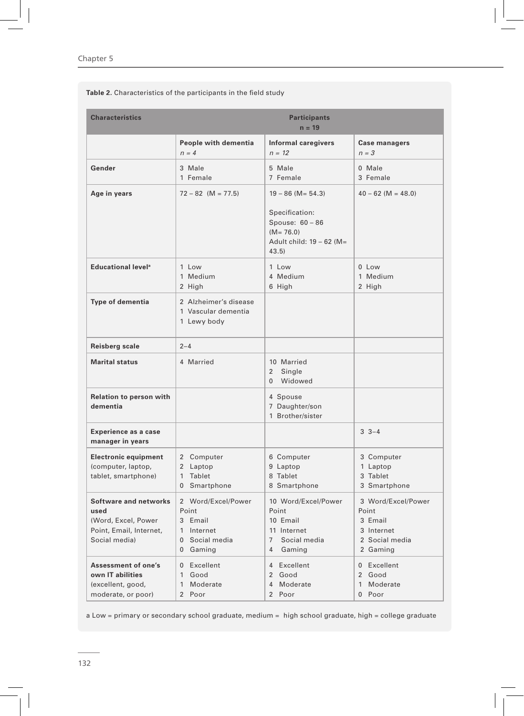Chapter 5

**Table 2.** Characteristics of the participants in the field study

| <b>Characteristics</b>                                                                                  | <b>Participants</b><br>$n = 19$                                                                    |                                                                                                       |                                                                                    |  |
|---------------------------------------------------------------------------------------------------------|----------------------------------------------------------------------------------------------------|-------------------------------------------------------------------------------------------------------|------------------------------------------------------------------------------------|--|
|                                                                                                         | People with dementia<br>$n = 4$                                                                    | <b>Informal caregivers</b><br>$n = 12$                                                                | <b>Case managers</b><br>$n = 3$                                                    |  |
| Gender                                                                                                  | 3 Male<br>1 Female                                                                                 | 5 Male<br>7 Female                                                                                    | 0 Male<br>3 Female                                                                 |  |
| Age in years                                                                                            | $72 - 82$ (M = 77.5)                                                                               | $19 - 86$ (M = 54.3)                                                                                  | $40 - 62$ (M = 48.0)                                                               |  |
|                                                                                                         |                                                                                                    | Specification:<br>Spouse: 60 - 86<br>$(M = 76.0)$<br>Adult child: 19 - 62 (M=<br>43.5                 |                                                                                    |  |
| Educational level <sup>a</sup>                                                                          | 1 Low<br>1 Medium<br>2 High                                                                        | 1 Low<br>4 Medium<br>6 High                                                                           | $0$ Low<br>1 Medium<br>2 High                                                      |  |
| <b>Type of dementia</b>                                                                                 | 2 Alzheimer's disease<br>1 Vascular dementia<br>1 Lewy body                                        |                                                                                                       |                                                                                    |  |
| Reisberg scale                                                                                          | $2 - 4$                                                                                            |                                                                                                       |                                                                                    |  |
| <b>Marital status</b>                                                                                   | 4 Married                                                                                          | 10 Married<br>Single<br>$\overline{2}$<br>0 Widowed                                                   |                                                                                    |  |
| <b>Relation to person with</b><br>dementia                                                              |                                                                                                    | 4 Spouse<br>7 Daughter/son<br>1 Brother/sister                                                        |                                                                                    |  |
| <b>Experience as a case</b><br>manager in years                                                         |                                                                                                    |                                                                                                       | $3 - 3 - 4$                                                                        |  |
| <b>Electronic equipment</b><br>(computer, laptop,<br>tablet, smartphone)                                | 2 Computer<br>2 Laptop<br>1 Tablet<br>$\overline{0}$<br>Smartphone                                 | 6 Computer<br>9 Laptop<br>8 Tablet<br>8 Smartphone                                                    | 3 Computer<br>1 Laptop<br>3 Tablet<br>3 Smartphone                                 |  |
| <b>Software and networks</b><br>used<br>(Word, Excel, Power<br>Point, Email, Internet,<br>Social media) | 2 Word/Excel/Power<br>Point<br>3 Email<br>1 Internet<br>Social media<br>$\overline{0}$<br>0 Gaming | 10 Word/Excel/Power<br>Point<br>10 Email<br>11 Internet<br>$7^{\circ}$<br>Social media<br>Gaming<br>4 | 3 Word/Excel/Power<br>Point<br>3 Email<br>3 Internet<br>2 Social media<br>2 Gaming |  |
| <b>Assessment of one's</b><br>own IT abilities<br>(excellent, good,<br>moderate, or poor)               | 0 Excellent<br>1 Good<br>Moderate<br>$\mathbf{1}$<br>2 Poor                                        | 4 Excellent<br>2 Good<br>4 Moderate<br>2 Poor                                                         | 0 Excellent<br>2 Good<br>1 Moderate<br>0 Poor                                      |  |

a Low = primary or secondary school graduate, medium = high school graduate, high = college graduate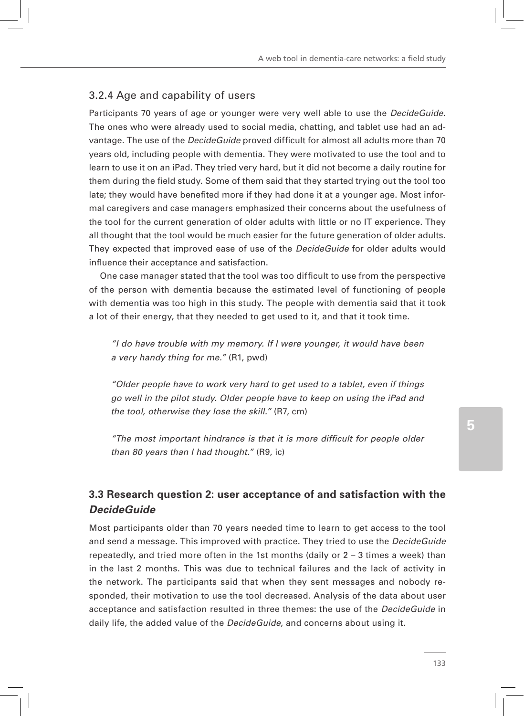## 3.2.4 Age and capability of users

Participants 70 years of age or younger were very well able to use the *DecideGuide*. The ones who were already used to social media, chatting, and tablet use had an advantage. The use of the *DecideGuide* proved difficult for almost all adults more than 70 years old, including people with dementia. They were motivated to use the tool and to learn to use it on an iPad. They tried very hard, but it did not become a daily routine for them during the field study. Some of them said that they started trying out the tool too late; they would have benefited more if they had done it at a younger age. Most informal caregivers and case managers emphasized their concerns about the usefulness of the tool for the current generation of older adults with little or no IT experience. They all thought that the tool would be much easier for the future generation of older adults. They expected that improved ease of use of the *DecideGuide* for older adults would influence their acceptance and satisfaction.

One case manager stated that the tool was too difficult to use from the perspective of the person with dementia because the estimated level of functioning of people with dementia was too high in this study. The people with dementia said that it took a lot of their energy, that they needed to get used to it, and that it took time.

*"I do have trouble with my memory. If I were younger, it would have been a very handy thing for me."* (R1, pwd)

*"Older people have to work very hard to get used to a tablet, even if things go well in the pilot study. Older people have to keep on using the iPad and the tool, otherwise they lose the skill."* (R7, cm)

*"The most important hindrance is that it is more difficult for people older than 80 years than I had thought."* (R9, ic)

# **3.3 Research question 2: user acceptance of and satisfaction with the**  *DecideGuide*

Most participants older than 70 years needed time to learn to get access to the tool and send a message. This improved with practice. They tried to use the *DecideGuide*  repeatedly, and tried more often in the 1st months (daily or 2 – 3 times a week) than in the last 2 months. This was due to technical failures and the lack of activity in the network. The participants said that when they sent messages and nobody responded, their motivation to use the tool decreased. Analysis of the data about user acceptance and satisfaction resulted in three themes: the use of the *DecideGuide* in daily life, the added value of the *DecideGuide,* and concerns about using it.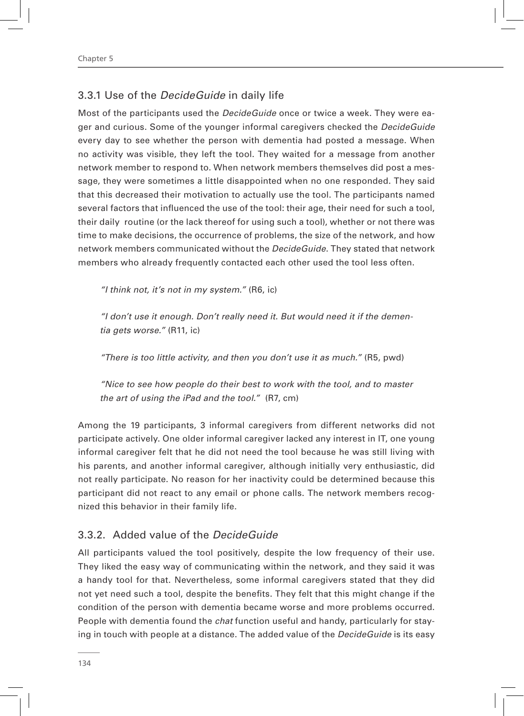## 3.3.1 Use of the *DecideGuide* in daily life

Most of the participants used the *DecideGuide* once or twice a week. They were eager and curious. Some of the younger informal caregivers checked the *DecideGuide*  every day to see whether the person with dementia had posted a message. When no activity was visible, they left the tool. They waited for a message from another network member to respond to. When network members themselves did post a message, they were sometimes a little disappointed when no one responded. They said that this decreased their motivation to actually use the tool. The participants named several factors that influenced the use of the tool: their age, their need for such a tool, their daily routine (or the lack thereof for using such a tool), whether or not there was time to make decisions, the occurrence of problems, the size of the network, and how network members communicated without the *DecideGuide*. They stated that network members who already frequently contacted each other used the tool less often.

*"I think not, it's not in my system."* (R6, ic)

*"I don't use it enough. Don't really need it. But would need it if the dementia gets worse."* (R11, ic)

*"There is too little activity, and then you don't use it as much."* (R5, pwd)

*"Nice to see how people do their best to work with the tool, and to master the art of using the iPad and the tool."* (R7, cm)

Among the 19 participants, 3 informal caregivers from different networks did not participate actively. One older informal caregiver lacked any interest in IT, one young informal caregiver felt that he did not need the tool because he was still living with his parents, and another informal caregiver, although initially very enthusiastic, did not really participate. No reason for her inactivity could be determined because this participant did not react to any email or phone calls. The network members recognized this behavior in their family life.

#### 3.3.2. Added value of the *DecideGuide*

All participants valued the tool positively, despite the low frequency of their use. They liked the easy way of communicating within the network, and they said it was a handy tool for that. Nevertheless, some informal caregivers stated that they did not yet need such a tool, despite the benefits. They felt that this might change if the condition of the person with dementia became worse and more problems occurred. People with dementia found the *chat* function useful and handy, particularly for staying in touch with people at a distance. The added value of the *DecideGuide* is its easy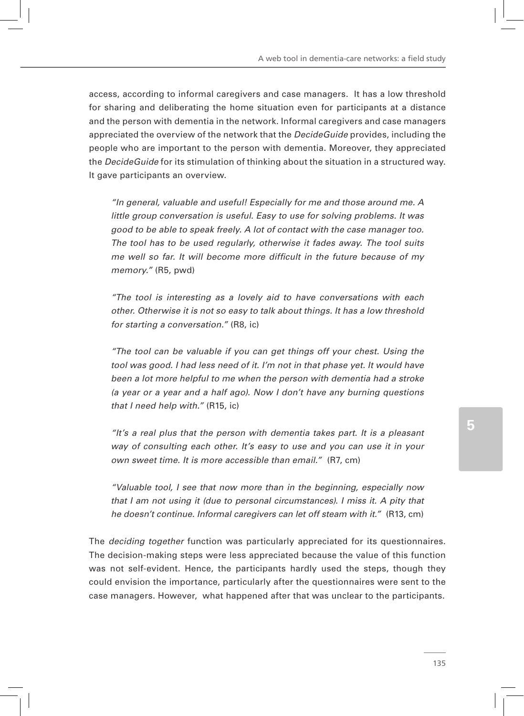access, according to informal caregivers and case managers. It has a low threshold for sharing and deliberating the home situation even for participants at a distance and the person with dementia in the network. Informal caregivers and case managers appreciated the overview of the network that the *DecideGuide* provides, including the people who are important to the person with dementia. Moreover, they appreciated the *DecideGuide* for its stimulation of thinking about the situation in a structured way. It gave participants an overview.

*"In general, valuable and useful! Especially for me and those around me. A little group conversation is useful. Easy to use for solving problems. It was good to be able to speak freely. A lot of contact with the case manager too. The tool has to be used regularly, otherwise it fades away. The tool suits me well so far. It will become more difficult in the future because of my memory."* (R5, pwd)

*"The tool is interesting as a lovely aid to have conversations with each other. Otherwise it is not so easy to talk about things. It has a low threshold for starting a conversation."* (R8, ic)

*"The tool can be valuable if you can get things off your chest. Using the tool was good. I had less need of it. I'm not in that phase yet. It would have been a lot more helpful to me when the person with dementia had a stroke (a year or a year and a half ago). Now I don't have any burning questions that I need help with."* (R15, ic)

*"It's a real plus that the person with dementia takes part. It is a pleasant way of consulting each other. It's easy to use and you can use it in your own sweet time. It is more accessible than email."* (R7, cm)

*"Valuable tool, I see that now more than in the beginning, especially now that I am not using it (due to personal circumstances). I miss it. A pity that he doesn't continue. Informal caregivers can let off steam with it."* (R13, cm)

The *deciding together* function was particularly appreciated for its questionnaires. The decision-making steps were less appreciated because the value of this function was not self-evident. Hence, the participants hardly used the steps, though they could envision the importance, particularly after the questionnaires were sent to the case managers. However, what happened after that was unclear to the participants.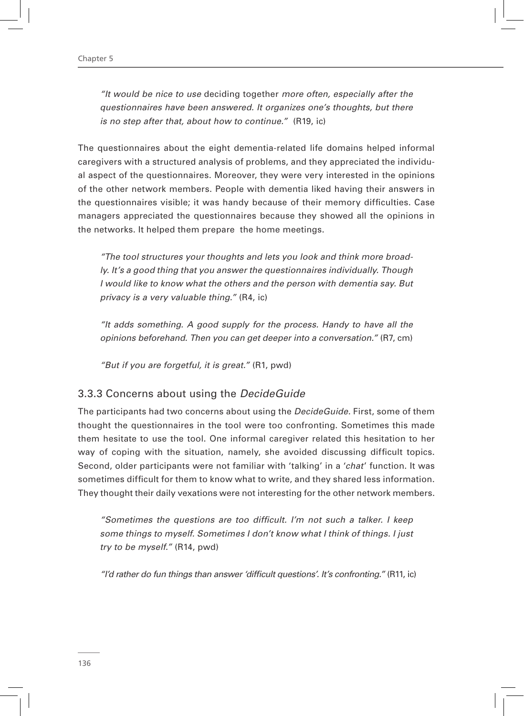*"It would be nice to use* deciding together *more often, especially after the questionnaires have been answered. It organizes one's thoughts, but there is no step after that, about how to continue."* (R19, ic)

The questionnaires about the eight dementia-related life domains helped informal caregivers with a structured analysis of problems, and they appreciated the individual aspect of the questionnaires. Moreover, they were very interested in the opinions of the other network members. People with dementia liked having their answers in the questionnaires visible; it was handy because of their memory difficulties. Case managers appreciated the questionnaires because they showed all the opinions in the networks. It helped them prepare the home meetings.

*"The tool structures your thoughts and lets you look and think more broadly. It's a good thing that you answer the questionnaires individually. Though I would like to know what the others and the person with dementia say. But privacy is a very valuable thing."* (R4, ic)

*"It adds something. A good supply for the process. Handy to have all the opinions beforehand. Then you can get deeper into a conversation."* (R7, cm)

*"But if you are forgetful, it is great."* (R1, pwd)

## 3.3.3 Concerns about using the *DecideGuide*

The participants had two concerns about using the *DecideGuide*. First, some of them thought the questionnaires in the tool were too confronting. Sometimes this made them hesitate to use the tool. One informal caregiver related this hesitation to her way of coping with the situation, namely, she avoided discussing difficult topics. Second, older participants were not familiar with 'talking' in a '*chat*' function. It was sometimes difficult for them to know what to write, and they shared less information. They thought their daily vexations were not interesting for the other network members.

*"Sometimes the questions are too difficult. I'm not such a talker. I keep some things to myself. Sometimes I don't know what I think of things. I just try to be myself."* (R14, pwd)

*"I'd rather do fun things than answer 'difficult questions'. It's confronting."* (R11, ic)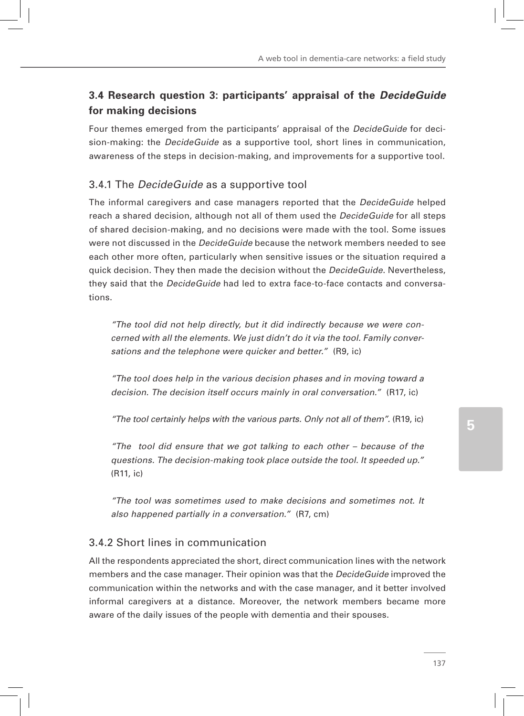# **3.4 Research question 3: participants' appraisal of the** *DecideGuide* **for making decisions**

Four themes emerged from the participants' appraisal of the *DecideGuide* for decision-making: the *DecideGuide* as a supportive tool, short lines in communication, awareness of the steps in decision-making, and improvements for a supportive tool.

## 3.4.1 The *DecideGuide* as a supportive tool

The informal caregivers and case managers reported that the *DecideGuide* helped reach a shared decision, although not all of them used the *DecideGuide* for all steps of shared decision-making, and no decisions were made with the tool. Some issues were not discussed in the *DecideGuide* because the network members needed to see each other more often, particularly when sensitive issues or the situation required a quick decision. They then made the decision without the *DecideGuide*. Nevertheless, they said that the *DecideGuide* had led to extra face-to-face contacts and conversations.

*"The tool did not help directly, but it did indirectly because we were concerned with all the elements. We just didn't do it via the tool. Family conversations and the telephone were quicker and better."* (R9, ic)

*"The tool does help in the various decision phases and in moving toward a decision. The decision itself occurs mainly in oral conversation."* (R17, ic)

*"The tool certainly helps with the various parts. Only not all of them".* (R19, ic)

*"The tool did ensure that we got talking to each other – because of the questions. The decision-making took place outside the tool. It speeded up."*  (R11, ic)

*"The tool was sometimes used to make decisions and sometimes not. It also happened partially in a conversation."* (R7, cm)

# 3.4.2 Short lines in communication

All the respondents appreciated the short, direct communication lines with the network members and the case manager. Their opinion was that the *DecideGuide* improved the communication within the networks and with the case manager, and it better involved informal caregivers at a distance. Moreover, the network members became more aware of the daily issues of the people with dementia and their spouses.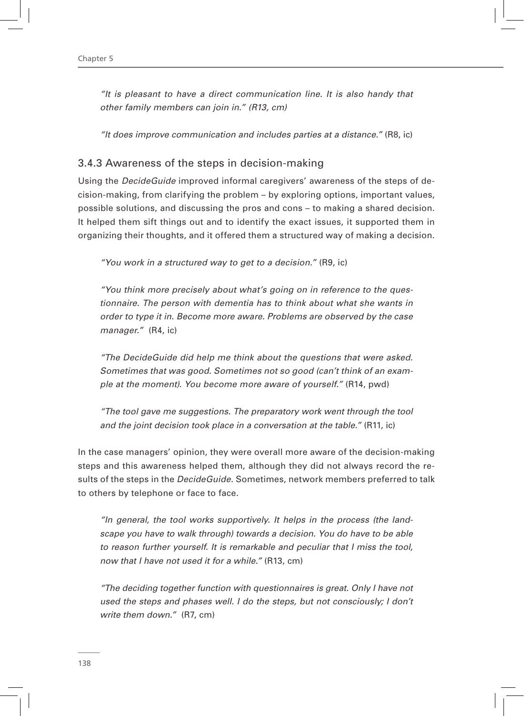*"It is pleasant to have a direct communication line. It is also handy that other family members can join in." (R13, cm)*

*"It does improve communication and includes parties at a distance."* (R8, ic)

#### 3.4.3 Awareness of the steps in decision-making

Using the *DecideGuide* improved informal caregivers' awareness of the steps of decision-making, from clarifying the problem – by exploring options, important values, possible solutions, and discussing the pros and cons – to making a shared decision. It helped them sift things out and to identify the exact issues, it supported them in organizing their thoughts, and it offered them a structured way of making a decision.

*"You work in a structured way to get to a decision."* (R9, ic)

*"You think more precisely about what's going on in reference to the questionnaire. The person with dementia has to think about what she wants in order to type it in. Become more aware. Problems are observed by the case manager."* (R4, ic)

*"The DecideGuide did help me think about the questions that were asked. Sometimes that was good. Sometimes not so good (can't think of an example at the moment). You become more aware of yourself."* (R14, pwd)

*"The tool gave me suggestions. The preparatory work went through the tool and the joint decision took place in a conversation at the table."* (R11, ic)

In the case managers' opinion, they were overall more aware of the decision-making steps and this awareness helped them, although they did not always record the results of the steps in the *DecideGuide*. Sometimes, network members preferred to talk to others by telephone or face to face.

*"In general, the tool works supportively. It helps in the process (the landscape you have to walk through) towards a decision. You do have to be able to reason further yourself. It is remarkable and peculiar that I miss the tool, now that I have not used it for a while."* (R13, cm)

*"The deciding together function with questionnaires is great. Only I have not used the steps and phases well. I do the steps, but not consciously; I don't write them down."* (R7, cm)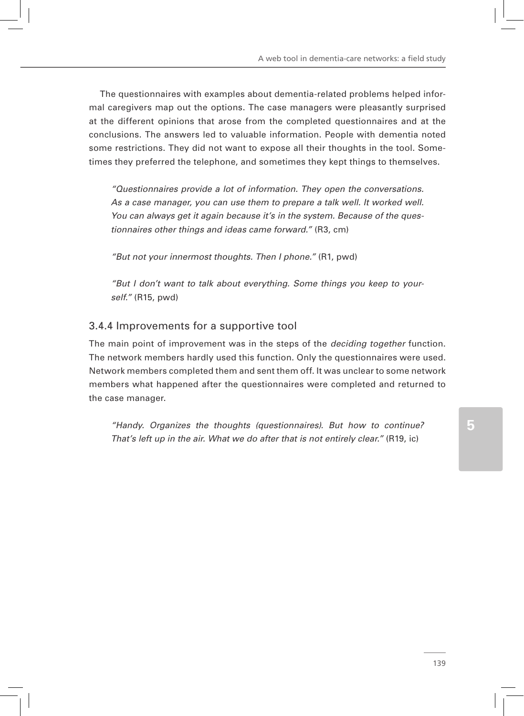The questionnaires with examples about dementia-related problems helped informal caregivers map out the options. The case managers were pleasantly surprised at the different opinions that arose from the completed questionnaires and at the conclusions. The answers led to valuable information. People with dementia noted some restrictions. They did not want to expose all their thoughts in the tool. Sometimes they preferred the telephone, and sometimes they kept things to themselves.

*"Questionnaires provide a lot of information. They open the conversations. As a case manager, you can use them to prepare a talk well. It worked well. You can always get it again because it's in the system. Because of the questionnaires other things and ideas came forward."* (R3, cm)

*"But not your innermost thoughts. Then I phone."* (R1, pwd)

*"But I don't want to talk about everything. Some things you keep to yourself."* (R15, pwd)

#### 3.4.4 Improvements for a supportive tool

The main point of improvement was in the steps of the *deciding together* function. The network members hardly used this function. Only the questionnaires were used. Network members completed them and sent them off. It was unclear to some network members what happened after the questionnaires were completed and returned to the case manager.

*"Handy. Organizes the thoughts (questionnaires). But how to continue? That's left up in the air. What we do after that is not entirely clear."* (R19, ic)

**5**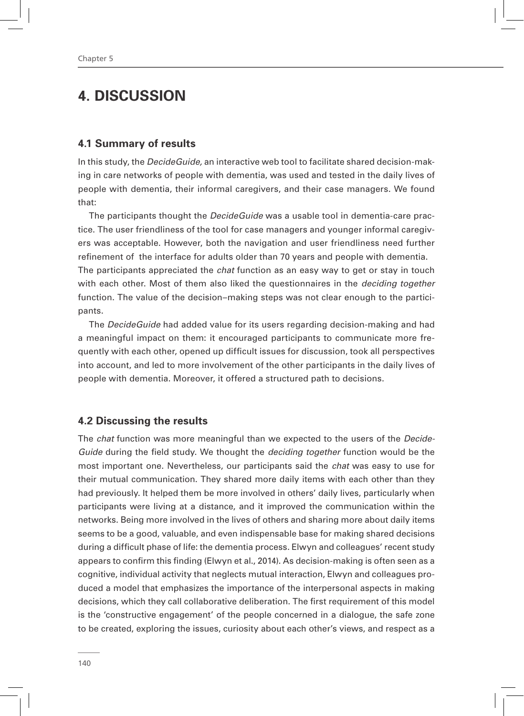# **4. DISCUSSION**

#### **4.1 Summary of results**

In this study, the *DecideGuide,* an interactive web tool to facilitate shared decision-making in care networks of people with dementia, was used and tested in the daily lives of people with dementia, their informal caregivers, and their case managers. We found that:

The participants thought the *DecideGuide* was a usable tool in dementia-care practice. The user friendliness of the tool for case managers and younger informal caregivers was acceptable. However, both the navigation and user friendliness need further refinement of the interface for adults older than 70 years and people with dementia. The participants appreciated the *chat* function as an easy way to get or stay in touch with each other. Most of them also liked the questionnaires in the *deciding together* function. The value of the decision–making steps was not clear enough to the participants.

The *DecideGuide* had added value for its users regarding decision-making and had a meaningful impact on them: it encouraged participants to communicate more frequently with each other, opened up difficult issues for discussion, took all perspectives into account, and led to more involvement of the other participants in the daily lives of people with dementia. Moreover, it offered a structured path to decisions.

#### **4.2 Discussing the results**

The *chat* function was more meaningful than we expected to the users of the *Decide-Guide* during the field study. We thought the *deciding together* function would be the most important one. Nevertheless, our participants said the *chat* was easy to use for their mutual communication. They shared more daily items with each other than they had previously. It helped them be more involved in others' daily lives, particularly when participants were living at a distance, and it improved the communication within the networks. Being more involved in the lives of others and sharing more about daily items seems to be a good, valuable, and even indispensable base for making shared decisions during a difficult phase of life: the dementia process. Elwyn and colleagues' recent study appears to confirm this finding (Elwyn et al., 2014). As decision-making is often seen as a cognitive, individual activity that neglects mutual interaction, Elwyn and colleagues produced a model that emphasizes the importance of the interpersonal aspects in making decisions, which they call collaborative deliberation. The first requirement of this model is the 'constructive engagement' of the people concerned in a dialogue, the safe zone to be created, exploring the issues, curiosity about each other's views, and respect as a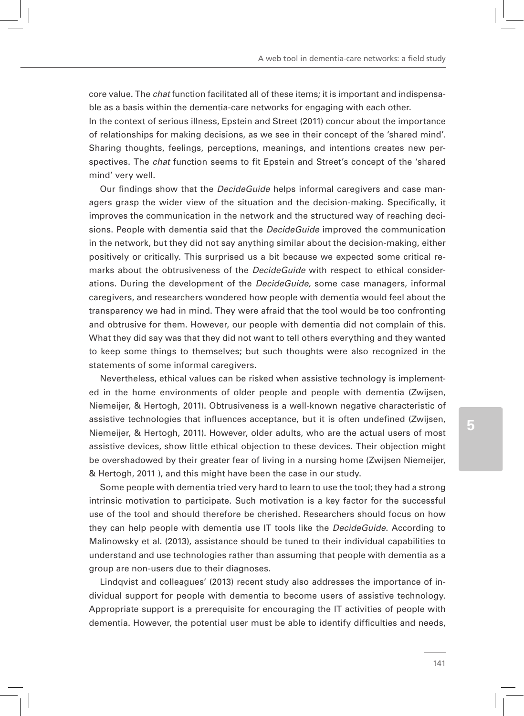core value. The *chat* function facilitated all of these items; it is important and indispensable as a basis within the dementia-care networks for engaging with each other. In the context of serious illness, Epstein and Street (2011) concur about the importance of relationships for making decisions, as we see in their concept of the 'shared mind'. Sharing thoughts, feelings, perceptions, meanings, and intentions creates new perspectives. The *chat* function seems to fit Epstein and Street's concept of the 'shared mind' very well.

Our findings show that the *DecideGuide* helps informal caregivers and case managers grasp the wider view of the situation and the decision-making. Specifically, it improves the communication in the network and the structured way of reaching decisions. People with dementia said that the *DecideGuide* improved the communication in the network, but they did not say anything similar about the decision-making, either positively or critically. This surprised us a bit because we expected some critical remarks about the obtrusiveness of the *DecideGuide* with respect to ethical considerations. During the development of the *DecideGuide,* some case managers, informal caregivers, and researchers wondered how people with dementia would feel about the transparency we had in mind. They were afraid that the tool would be too confronting and obtrusive for them. However, our people with dementia did not complain of this. What they did say was that they did not want to tell others everything and they wanted to keep some things to themselves; but such thoughts were also recognized in the statements of some informal caregivers.

Nevertheless, ethical values can be risked when assistive technology is implemented in the home environments of older people and people with dementia (Zwijsen, Niemeijer, & Hertogh, 2011). Obtrusiveness is a well-known negative characteristic of assistive technologies that influences acceptance, but it is often undefined (Zwijsen, Niemeijer, & Hertogh, 2011). However, older adults, who are the actual users of most assistive devices, show little ethical objection to these devices. Their objection might be overshadowed by their greater fear of living in a nursing home (Zwijsen Niemeijer, & Hertogh, 2011 ), and this might have been the case in our study.

Some people with dementia tried very hard to learn to use the tool; they had a strong intrinsic motivation to participate. Such motivation is a key factor for the successful use of the tool and should therefore be cherished. Researchers should focus on how they can help people with dementia use IT tools like the *DecideGuide*. According to Malinowsky et al. (2013), assistance should be tuned to their individual capabilities to understand and use technologies rather than assuming that people with dementia as a group are non-users due to their diagnoses.

Lindqvist and colleagues' (2013) recent study also addresses the importance of individual support for people with dementia to become users of assistive technology. Appropriate support is a prerequisite for encouraging the IT activities of people with dementia. However, the potential user must be able to identify difficulties and needs,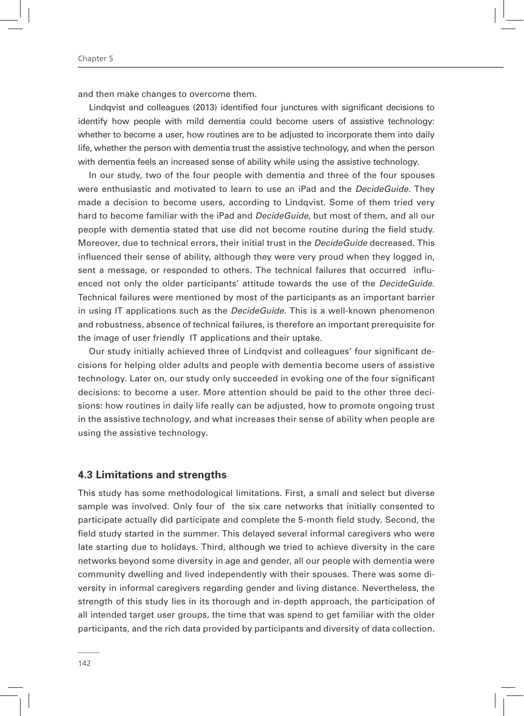and then make changes to overcome them.

Lindqvist and colleagues (2013) identified four junctures with significant decisions to identify how people with mild dementia could become users of assistive technology: whether to become a user, how routines are to be adjusted to incorporate them into daily life, whether the person with dementia trust the assistive technology, and when the person with dementia feels an increased sense of ability while using the assistive technology.

In our study, two of the four people with dementia and three of the four spouses were enthusiastic and motivated to learn to use an iPad and the *DecideGuide*. They made a decision to become users, according to Lindqvist. Some of them tried very hard to become familiar with the iPad and *DecideGuide,* but most of them, and all our people with dementia stated that use did not become routine during the field study. Moreover, due to technical errors, their initial trust in the *DecideGuide* decreased. This influenced their sense of ability, although they were very proud when they logged in, sent a message, or responded to others. The technical failures that occurred influenced not only the older participants' attitude towards the use of the *DecideGuide*. Technical failures were mentioned by most of the participants as an important barrier in using IT applications such as the *DecideGuide*. This is a well-known phenomenon and robustness, absence of technical failures, is therefore an important prerequisite for the image of user friendly IT applications and their uptake.

Our study initially achieved three of Lindqvist and colleagues' four significant decisions for helping older adults and people with dementia become users of assistive technology. Later on, our study only succeeded in evoking one of the four significant decisions: to become a user. More attention should be paid to the other three decisions: how routines in daily life really can be adjusted, how to promote ongoing trust in the assistive technology, and what increases their sense of ability when people are using the assistive technology.

#### **4.3 Limitations and strengths**

This study has some methodological limitations. First, a small and select but diverse sample was involved. Only four of the six care networks that initially consented to participate actually did participate and complete the 5-month field study. Second, the field study started in the summer. This delayed several informal caregivers who were late starting due to holidays. Third, although we tried to achieve diversity in the care networks beyond some diversity in age and gender, all our people with dementia were community dwelling and lived independently with their spouses. There was some diversity in informal caregivers regarding gender and living distance. Nevertheless, the strength of this study lies in its thorough and in-depth approach, the participation of all intended target user groups, the time that was spend to get familiar with the older participants, and the rich data provided by participants and diversity of data collection.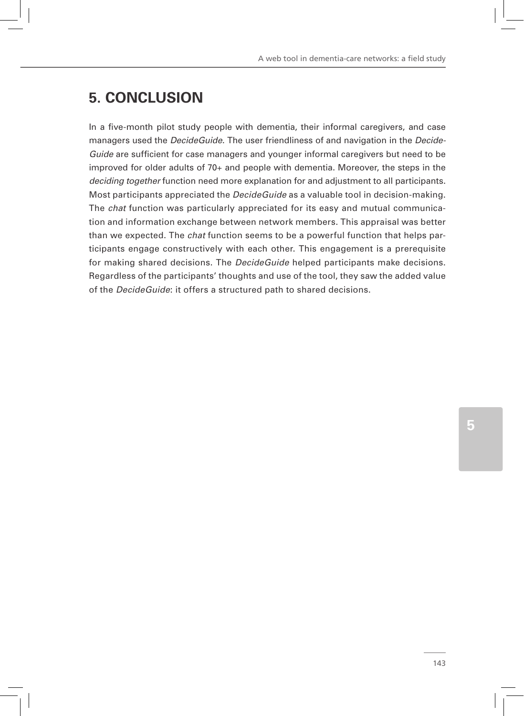# **5. CONCLUSION**

In a five-month pilot study people with dementia, their informal caregivers, and case managers used the *DecideGuide*. The user friendliness of and navigation in the *Decide-Guide* are sufficient for case managers and younger informal caregivers but need to be improved for older adults of 70+ and people with dementia. Moreover, the steps in the *deciding together* function need more explanation for and adjustment to all participants. Most participants appreciated the *DecideGuide* as a valuable tool in decision-making. The *chat* function was particularly appreciated for its easy and mutual communication and information exchange between network members. This appraisal was better than we expected. The *chat* function seems to be a powerful function that helps participants engage constructively with each other. This engagement is a prerequisite for making shared decisions. The *DecideGuide* helped participants make decisions. Regardless of the participants' thoughts and use of the tool, they saw the added value of the *DecideGuide*: it offers a structured path to shared decisions.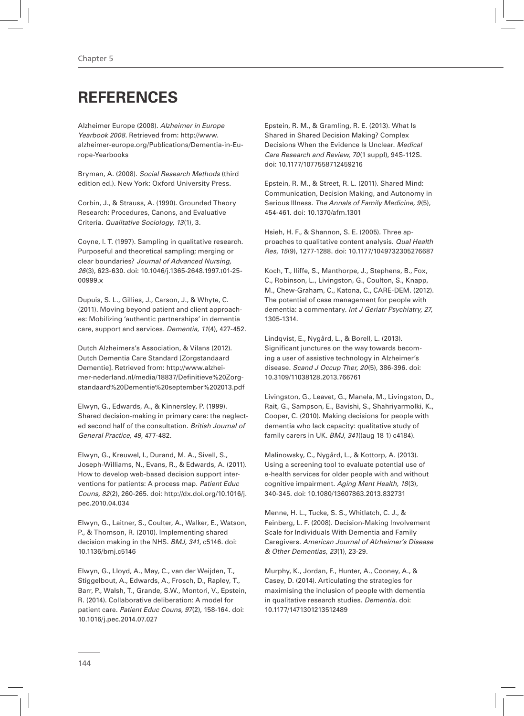# **REFERENCES**

Alzheimer Europe (2008). *Alzheimer in Europe Yearbook 2008*. Retrieved from: http://www. alzheimer-europe.org/Publications/Dementia-in-Europe-Yearbooks

Bryman, A. (2008). *Social Research Methods* (third edition ed.). New York: Oxford University Press.

Corbin, J., & Strauss, A. (1990). Grounded Theory Research: Procedures, Canons, and Evaluative Criteria. *Qualitative Sociology, 13*(1), 3.

Coyne, I. T. (1997). Sampling in qualitative research. Purposeful and theoretical sampling; merging or clear boundaries? *Journal of Advanced Nursing, 26*(3), 623-630. doi: 10.1046/j.1365-2648.1997.t01-25- 00999.x

Dupuis, S. L., Gillies, J., Carson, J., & Whyte, C. (2011). Moving beyond patient and client approaches: Mobilizing 'authentic partnerships' in dementia care, support and services. *Dementia, 11*(4), 427-452.

Dutch Alzheimers's Association, & Vilans (2012). Dutch Dementia Care Standard [Zorgstandaard Dementie]. Retrieved from: http://www.alzheimer-nederland.nl/media/18837/Definitieve%20Zorgstandaard%20Dementie%20september%202013.pdf

Elwyn, G., Edwards, A., & Kinnersley, P. (1999). Shared decision-making in primary care: the neglected second half of the consultation. *British Journal of General Practice, 49*, 477-482.

Elwyn, G., Kreuwel, I., Durand, M. A., Sivell, S., Joseph-Williams, N., Evans, R., & Edwards, A. (2011). How to develop web-based decision support interventions for patients: A process map. *Patient Educ Couns, 82*(2), 260-265. doi: http://dx.doi.org/10.1016/j. pec.2010.04.034

Elwyn, G., Laitner, S., Coulter, A., Walker, E., Watson, P., & Thomson, R. (2010). Implementing shared decision making in the NHS. *BMJ, 341*, c5146. doi: 10.1136/bmj.c5146

Elwyn, G., Lloyd, A., May, C., van der Weijden, T., Stiggelbout, A., Edwards, A., Frosch, D., Rapley, T., Barr, P., Walsh, T., Grande, S.W., Montori, V., Epstein, R. (2014). Collaborative deliberation: A model for patient care. *Patient Educ Couns, 97*(2), 158-164. doi: 10.1016/j.pec.2014.07.027

Epstein, R. M., & Gramling, R. E. (2013). What Is Shared in Shared Decision Making? Complex Decisions When the Evidence Is Unclear. *Medical Care Research and Review, 70*(1 suppl), 94S-112S. doi: 10.1177/1077558712459216

Epstein, R. M., & Street, R. L. (2011). Shared Mind: Communication, Decision Making, and Autonomy in Serious Illness. *The Annals of Family Medicine, 9*(5), 454-461. doi: 10.1370/afm.1301

Hsieh, H. F., & Shannon, S. E. (2005). Three approaches to qualitative content analysis. *Qual Health Res, 15*(9), 1277-1288. doi: 10.1177/1049732305276687

Koch, T., Iliffe, S., Manthorpe, J., Stephens, B., Fox, C., Robinson, L., Livingston, G., Coulton, S., Knapp, M., Chew-Graham, C., Katona, C., CARE-DEM. (2012). The potential of case management for people with dementia: a commentary. *Int J Geriatr Psychiatry, 27*, 1305-1314.

Lindqvist, E., Nygård, L., & Borell, L. (2013). Significant junctures on the way towards becoming a user of assistive technology in Alzheimer's disease. *Scand J Occup Ther, 20*(5), 386-396. doi: 10.3109/11038128.2013.766761

Livingston, G., Leavet, G., Manela, M., Livingston, D., Rait, G., Sampson, E., Bavishi, S., Shahriyarmolki, K., Cooper, C. (2010). Making decisions for people with dementia who lack capacity: qualitative study of family carers in UK. *BMJ, 341*((aug 18 1) c4184).

Malinowsky, C., Nygård, L., & Kottorp, A. (2013). Using a screening tool to evaluate potential use of e-health services for older people with and without cognitive impairment. *Aging Ment Health, 18*(3), 340-345. doi: 10.1080/13607863.2013.832731

Menne, H. L., Tucke, S. S., Whitlatch, C. J., & Feinberg, L. F. (2008). Decision-Making Involvement Scale for Individuals With Dementia and Family Caregivers. *American Journal of Alzheimer's Disease & Other Dementias, 23*(1), 23-29.

Murphy, K., Jordan, F., Hunter, A., Cooney, A., & Casey, D. (2014). Articulating the strategies for maximising the inclusion of people with dementia in qualitative research studies. *Dementia*. doi: 10.1177/1471301213512489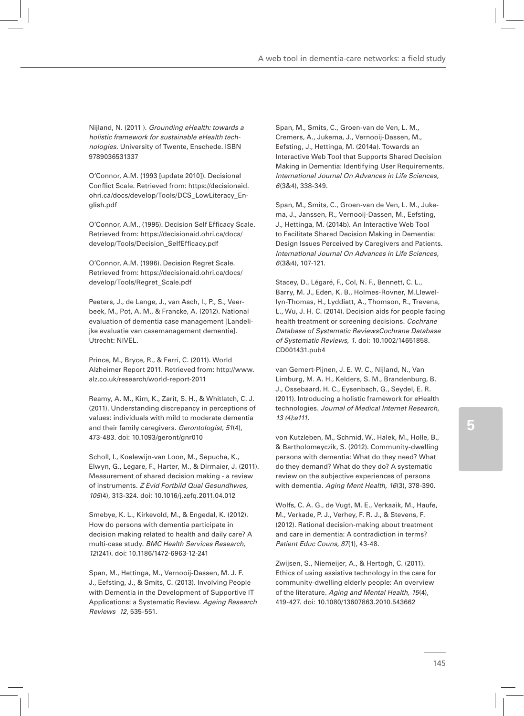Nijland, N. (2011 ). *Grounding eHealth: towards a holistic framework for sustainable eHealth technologies.* University of Twente, Enschede. ISBN 9789036531337

O'Connor, A.M. (1993 [update 2010]). Decisional Conflict Scale. Retrieved from: https://decisionaid. ohri.ca/docs/develop/Tools/DCS\_LowLiteracy\_English.pdf

O'Connor, A.M., (1995). Decision Self Efficacy Scale. Retrieved from: https://decisionaid.ohri.ca/docs/ develop/Tools/Decision\_SelfEfficacy.pdf

O'Connor, A.M. (1996). Decision Regret Scale. Retrieved from: https://decisionaid.ohri.ca/docs/ develop/Tools/Regret\_Scale.pdf

Peeters, J., de Lange, J., van Asch, I., P., S., Veerbeek, M., Pot, A. M., & Francke, A. (2012). National evaluation of dementia case management [Landelijke evaluatie van casemanagement dementie]. Utrecht: NIVEL.

Prince, M., Bryce, R., & Ferri, C. (2011). World Alzheimer Report 2011. Retrieved from: http://www. alz.co.uk/research/world-report-2011

Reamy, A. M., Kim, K., Zarit, S. H., & Whitlatch, C. J. (2011). Understanding discrepancy in perceptions of values: individuals with mild to moderate dementia and their family caregivers. *Gerontologist, 51*(4), 473-483. doi: 10.1093/geront/gnr010

Scholl, I., Koelewijn-van Loon, M., Sepucha, K., Elwyn, G., Legare, F., Harter, M., & Dirmaier, J. (2011). Measurement of shared decision making - a review of instruments. *Z Evid Fortbild Qual Gesundhwes, 105*(4), 313-324. doi: 10.1016/j.zefq.2011.04.012

Smebye, K. L., Kirkevold, M., & Engedal, K. (2012). How do persons with dementia participate in decision making related to health and daily care? A multi-case study. *BMC Health Services Research, 12*(241). doi: 10.1186/1472-6963-12-241

Span, M., Hettinga, M., Vernooij-Dassen, M. J. F. J., Eefsting, J., & Smits, C. (2013). Involving People with Dementia in the Development of Supportive IT Applications: a Systematic Review. *Ageing Research Reviews 12*, 535-551.

Span, M., Smits, C., Groen-van de Ven, L. M., Cremers, A., Jukema, J., Vernooij-Dassen, M., Eefsting, J., Hettinga, M. (2014a). Towards an Interactive Web Tool that Supports Shared Decision Making in Dementia: Identifying User Requirements. *International Journal On Advances in Life Sciences, 6*(3&4), 338-349.

Span, M., Smits, C., Groen-van de Ven, L. M., Jukema, J., Janssen, R., Vernooij-Dassen, M., Eefsting, J., Hettinga, M. (2014b). An Interactive Web Tool to Facilitate Shared Decision Making in Dementia: Design Issues Perceived by Caregivers and Patients. *International Journal On Advances in Life Sciences, 6*(3&4), 107-121.

Stacey, D., Légaré, F., Col, N. F., Bennett, C. L., Barry, M. J., Eden, K. B., Holmes-Rovner, M.Llewellyn-Thomas, H., Lyddiatt, A., Thomson, R., Trevena, L., Wu, J. H. C. (2014). Decision aids for people facing health treatment or screening decisions. *Cochrane Database of Systematic ReviewsCochrane Database of Systematic Reviews, 1*. doi: 10.1002/14651858. CD001431.pub4

van Gemert-Pijnen, J. E. W. C., Nijland, N., Van Limburg, M. A. H., Kelders, S. M., Brandenburg, B. J., Ossebaard, H. C., Eysenbach, G., Seydel, E. R. (2011). Introducing a holistic framework for eHealth technologies. *Journal of Medical Internet Research, 13 (4):e111*.

von Kutzleben, M., Schmid, W., Halek, M., Holle, B., & Bartholomeyczik, S. (2012). Community-dwelling persons with dementia: What do they need? What do they demand? What do they do? A systematic review on the subjective experiences of persons with dementia. *Aging Ment Health, 16*(3), 378-390.

Wolfs, C. A. G., de Vugt, M. E., Verkaaik, M., Haufe, M., Verkade, P. J., Verhey, F. R. J., & Stevens, F. (2012). Rational decision-making about treatment and care in dementia: A contradiction in terms? *Patient Educ Couns, 87*(1), 43-48.

Zwijsen, S., Niemeijer, A., & Hertogh, C. (2011). Ethics of using assistive technology in the care for community-dwelling elderly people: An overview of the literature. *Aging and Mental Health, 15*(4), 419-427. doi: 10.1080/13607863.2010.543662